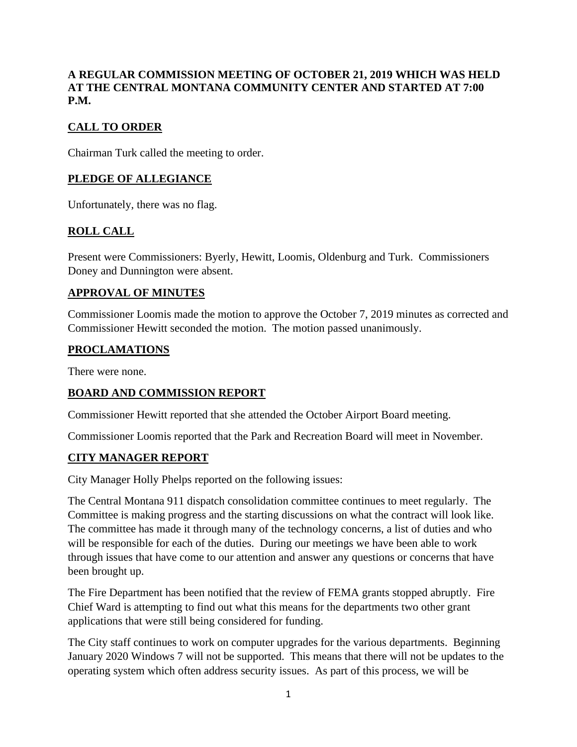## **A REGULAR COMMISSION MEETING OF OCTOBER 21, 2019 WHICH WAS HELD AT THE CENTRAL MONTANA COMMUNITY CENTER AND STARTED AT 7:00 P.M.**

# **CALL TO ORDER**

Chairman Turk called the meeting to order.

#### **PLEDGE OF ALLEGIANCE**

Unfortunately, there was no flag.

## **ROLL CALL**

Present were Commissioners: Byerly, Hewitt, Loomis, Oldenburg and Turk. Commissioners Doney and Dunnington were absent.

#### **APPROVAL OF MINUTES**

Commissioner Loomis made the motion to approve the October 7, 2019 minutes as corrected and Commissioner Hewitt seconded the motion. The motion passed unanimously.

#### **PROCLAMATIONS**

There were none.

#### **BOARD AND COMMISSION REPORT**

Commissioner Hewitt reported that she attended the October Airport Board meeting.

Commissioner Loomis reported that the Park and Recreation Board will meet in November.

#### **CITY MANAGER REPORT**

City Manager Holly Phelps reported on the following issues:

The Central Montana 911 dispatch consolidation committee continues to meet regularly. The Committee is making progress and the starting discussions on what the contract will look like. The committee has made it through many of the technology concerns, a list of duties and who will be responsible for each of the duties. During our meetings we have been able to work through issues that have come to our attention and answer any questions or concerns that have been brought up.

The Fire Department has been notified that the review of FEMA grants stopped abruptly. Fire Chief Ward is attempting to find out what this means for the departments two other grant applications that were still being considered for funding.

The City staff continues to work on computer upgrades for the various departments. Beginning January 2020 Windows 7 will not be supported. This means that there will not be updates to the operating system which often address security issues. As part of this process, we will be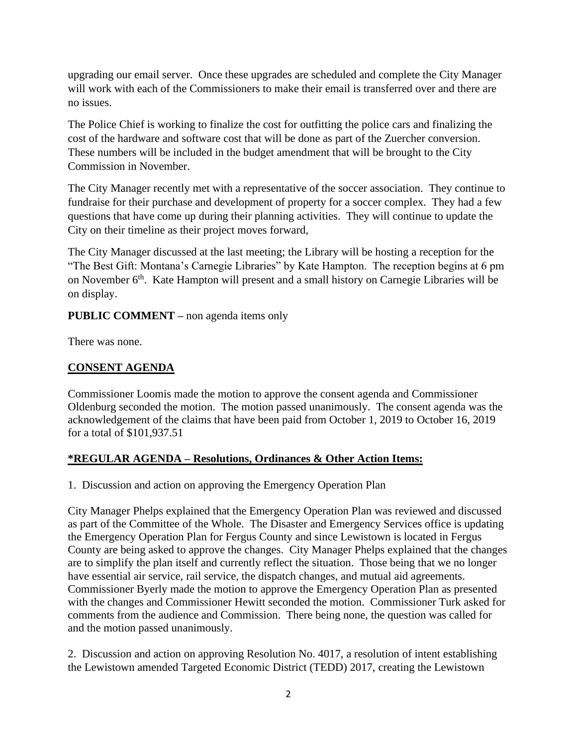upgrading our email server. Once these upgrades are scheduled and complete the City Manager will work with each of the Commissioners to make their email is transferred over and there are no issues.

The Police Chief is working to finalize the cost for outfitting the police cars and finalizing the cost of the hardware and software cost that will be done as part of the Zuercher conversion. These numbers will be included in the budget amendment that will be brought to the City Commission in November.

The City Manager recently met with a representative of the soccer association. They continue to fundraise for their purchase and development of property for a soccer complex. They had a few questions that have come up during their planning activities. They will continue to update the City on their timeline as their project moves forward,

The City Manager discussed at the last meeting; the Library will be hosting a reception for the "The Best Gift: Montana's Carnegie Libraries" by Kate Hampton. The reception begins at 6 pm on November 6<sup>th</sup>. Kate Hampton will present and a small history on Carnegie Libraries will be on display.

**PUBLIC COMMENT –** non agenda items only

There was none.

## **CONSENT AGENDA**

Commissioner Loomis made the motion to approve the consent agenda and Commissioner Oldenburg seconded the motion. The motion passed unanimously. The consent agenda was the acknowledgement of the claims that have been paid from October 1, 2019 to October 16, 2019 for a total of \$101,937.51

#### **\*REGULAR AGENDA – Resolutions, Ordinances & Other Action Items:**

1. Discussion and action on approving the Emergency Operation Plan

City Manager Phelps explained that the Emergency Operation Plan was reviewed and discussed as part of the Committee of the Whole. The Disaster and Emergency Services office is updating the Emergency Operation Plan for Fergus County and since Lewistown is located in Fergus County are being asked to approve the changes. City Manager Phelps explained that the changes are to simplify the plan itself and currently reflect the situation. Those being that we no longer have essential air service, rail service, the dispatch changes, and mutual aid agreements. Commissioner Byerly made the motion to approve the Emergency Operation Plan as presented with the changes and Commissioner Hewitt seconded the motion. Commissioner Turk asked for comments from the audience and Commission. There being none, the question was called for and the motion passed unanimously.

2. Discussion and action on approving Resolution No. 4017, a resolution of intent establishing the Lewistown amended Targeted Economic District (TEDD) 2017, creating the Lewistown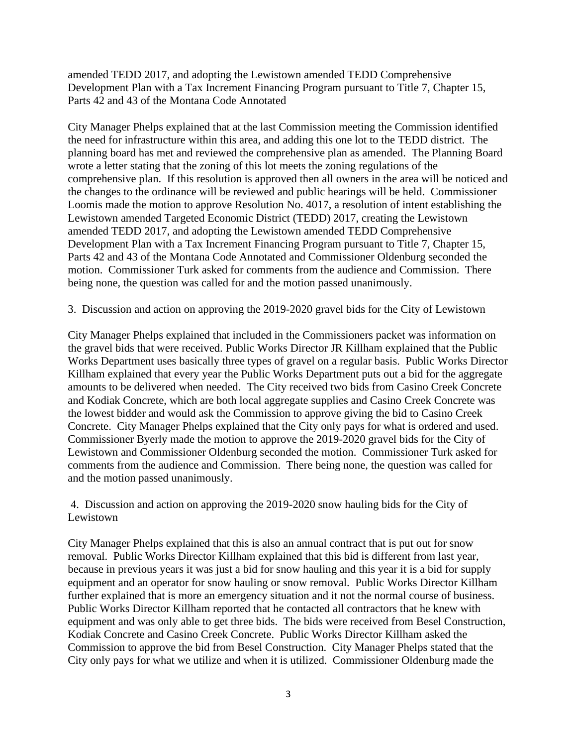amended TEDD 2017, and adopting the Lewistown amended TEDD Comprehensive Development Plan with a Tax Increment Financing Program pursuant to Title 7, Chapter 15, Parts 42 and 43 of the Montana Code Annotated

City Manager Phelps explained that at the last Commission meeting the Commission identified the need for infrastructure within this area, and adding this one lot to the TEDD district. The planning board has met and reviewed the comprehensive plan as amended. The Planning Board wrote a letter stating that the zoning of this lot meets the zoning regulations of the comprehensive plan. If this resolution is approved then all owners in the area will be noticed and the changes to the ordinance will be reviewed and public hearings will be held. Commissioner Loomis made the motion to approve Resolution No. 4017, a resolution of intent establishing the Lewistown amended Targeted Economic District (TEDD) 2017, creating the Lewistown amended TEDD 2017, and adopting the Lewistown amended TEDD Comprehensive Development Plan with a Tax Increment Financing Program pursuant to Title 7, Chapter 15, Parts 42 and 43 of the Montana Code Annotated and Commissioner Oldenburg seconded the motion. Commissioner Turk asked for comments from the audience and Commission. There being none, the question was called for and the motion passed unanimously.

3. Discussion and action on approving the 2019-2020 gravel bids for the City of Lewistown

City Manager Phelps explained that included in the Commissioners packet was information on the gravel bids that were received. Public Works Director JR Killham explained that the Public Works Department uses basically three types of gravel on a regular basis. Public Works Director Killham explained that every year the Public Works Department puts out a bid for the aggregate amounts to be delivered when needed. The City received two bids from Casino Creek Concrete and Kodiak Concrete, which are both local aggregate supplies and Casino Creek Concrete was the lowest bidder and would ask the Commission to approve giving the bid to Casino Creek Concrete. City Manager Phelps explained that the City only pays for what is ordered and used. Commissioner Byerly made the motion to approve the 2019-2020 gravel bids for the City of Lewistown and Commissioner Oldenburg seconded the motion. Commissioner Turk asked for comments from the audience and Commission. There being none, the question was called for and the motion passed unanimously.

4. Discussion and action on approving the 2019-2020 snow hauling bids for the City of Lewistown

City Manager Phelps explained that this is also an annual contract that is put out for snow removal. Public Works Director Killham explained that this bid is different from last year, because in previous years it was just a bid for snow hauling and this year it is a bid for supply equipment and an operator for snow hauling or snow removal. Public Works Director Killham further explained that is more an emergency situation and it not the normal course of business. Public Works Director Killham reported that he contacted all contractors that he knew with equipment and was only able to get three bids. The bids were received from Besel Construction, Kodiak Concrete and Casino Creek Concrete. Public Works Director Killham asked the Commission to approve the bid from Besel Construction. City Manager Phelps stated that the City only pays for what we utilize and when it is utilized. Commissioner Oldenburg made the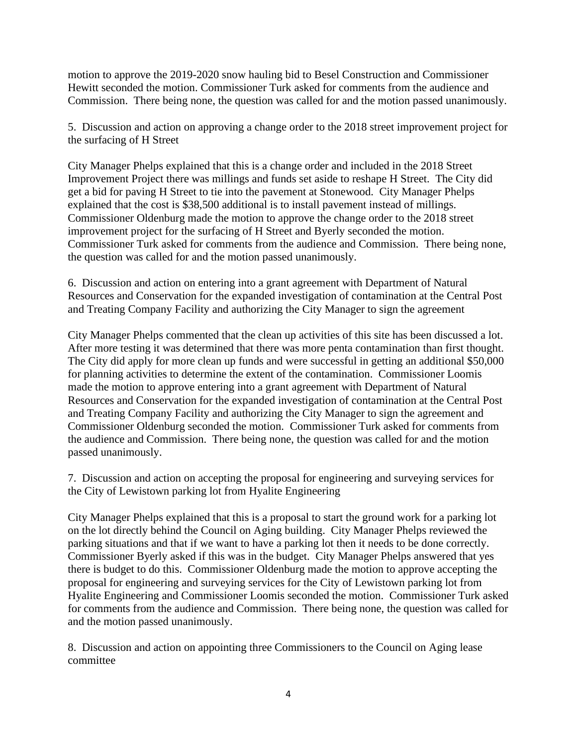motion to approve the 2019-2020 snow hauling bid to Besel Construction and Commissioner Hewitt seconded the motion. Commissioner Turk asked for comments from the audience and Commission. There being none, the question was called for and the motion passed unanimously.

5. Discussion and action on approving a change order to the 2018 street improvement project for the surfacing of H Street

City Manager Phelps explained that this is a change order and included in the 2018 Street Improvement Project there was millings and funds set aside to reshape H Street. The City did get a bid for paving H Street to tie into the pavement at Stonewood. City Manager Phelps explained that the cost is \$38,500 additional is to install pavement instead of millings. Commissioner Oldenburg made the motion to approve the change order to the 2018 street improvement project for the surfacing of H Street and Byerly seconded the motion. Commissioner Turk asked for comments from the audience and Commission. There being none, the question was called for and the motion passed unanimously.

6. Discussion and action on entering into a grant agreement with Department of Natural Resources and Conservation for the expanded investigation of contamination at the Central Post and Treating Company Facility and authorizing the City Manager to sign the agreement

City Manager Phelps commented that the clean up activities of this site has been discussed a lot. After more testing it was determined that there was more penta contamination than first thought. The City did apply for more clean up funds and were successful in getting an additional \$50,000 for planning activities to determine the extent of the contamination. Commissioner Loomis made the motion to approve entering into a grant agreement with Department of Natural Resources and Conservation for the expanded investigation of contamination at the Central Post and Treating Company Facility and authorizing the City Manager to sign the agreement and Commissioner Oldenburg seconded the motion. Commissioner Turk asked for comments from the audience and Commission. There being none, the question was called for and the motion passed unanimously.

7. Discussion and action on accepting the proposal for engineering and surveying services for the City of Lewistown parking lot from Hyalite Engineering

City Manager Phelps explained that this is a proposal to start the ground work for a parking lot on the lot directly behind the Council on Aging building. City Manager Phelps reviewed the parking situations and that if we want to have a parking lot then it needs to be done correctly. Commissioner Byerly asked if this was in the budget. City Manager Phelps answered that yes there is budget to do this. Commissioner Oldenburg made the motion to approve accepting the proposal for engineering and surveying services for the City of Lewistown parking lot from Hyalite Engineering and Commissioner Loomis seconded the motion. Commissioner Turk asked for comments from the audience and Commission. There being none, the question was called for and the motion passed unanimously.

8. Discussion and action on appointing three Commissioners to the Council on Aging lease committee